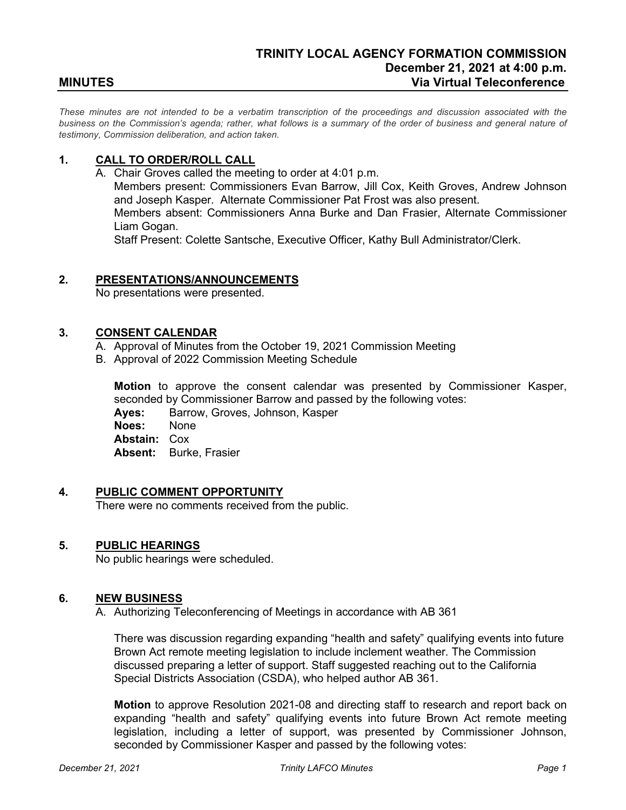*These minutes are not intended to be a verbatim transcription of the proceedings and discussion associated with the business on the Commission's agenda; rather, what follows is a summary of the order of business and general nature of testimony, Commission deliberation, and action taken.*

# **1. CALL TO ORDER/ROLL CALL**

A. Chair Groves called the meeting to order at 4:01 p.m.

Members present: Commissioners Evan Barrow, Jill Cox, Keith Groves, Andrew Johnson and Joseph Kasper. Alternate Commissioner Pat Frost was also present.

Members absent: Commissioners Anna Burke and Dan Frasier, Alternate Commissioner Liam Gogan.

Staff Present: Colette Santsche, Executive Officer, Kathy Bull Administrator/Clerk.

#### **2. PRESENTATIONS/ANNOUNCEMENTS**

No presentations were presented.

## **3. CONSENT CALENDAR**

- A. Approval of Minutes from the October 19, 2021 Commission Meeting
- B. Approval of 2022 Commission Meeting Schedule

**Motion** to approve the consent calendar was presented by Commissioner Kasper, seconded by Commissioner Barrow and passed by the following votes: **Ayes:** Barrow, Groves, Johnson, Kasper **Noes:** None **Abstain:** Cox **Absent:** Burke, Frasier

#### **4. PUBLIC COMMENT OPPORTUNITY**

There were no comments received from the public.

#### **5. PUBLIC HEARINGS**

No public hearings were scheduled.

## **6. NEW BUSINESS**

A. [Authorizing Teleconferencing of Meetings in accordance with AB 361](https://www.trinitylafco.org/wp-content/uploads/2021/12/12.21.2021.AGENDA.ITEM_.6.A-AB-361-Remote-Participation.pdf)

There was discussion regarding expanding "health and safety" qualifying events into future Brown Act remote meeting legislation to include inclement weather. The Commission discussed preparing a letter of support. Staff suggested reaching out to the California Special Districts Association (CSDA), who helped author AB 361.

**Motion** to approve Resolution 2021-08 and directing staff to research and report back on expanding "health and safety" qualifying events into future Brown Act remote meeting legislation, including a letter of support, was presented by Commissioner Johnson, seconded by Commissioner Kasper and passed by the following votes: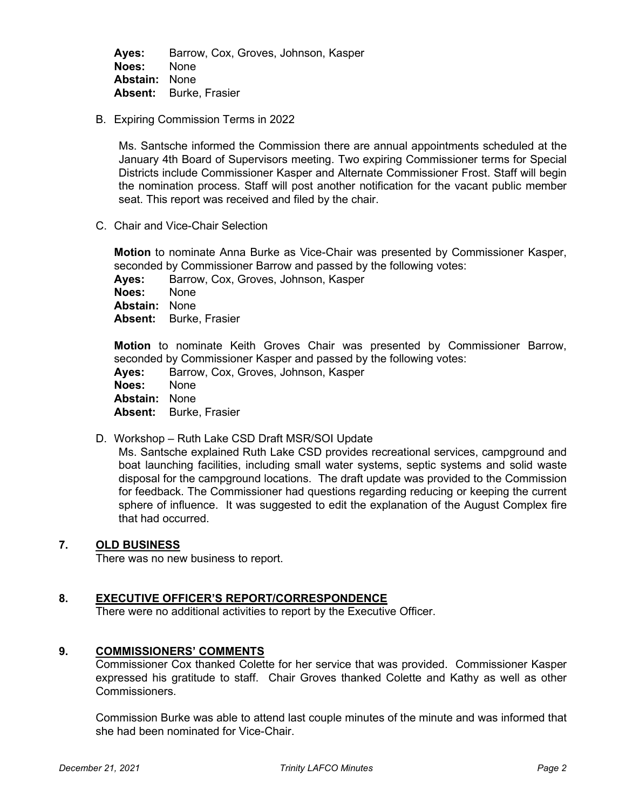**Ayes:** Barrow, Cox, Groves, Johnson, Kasper **Noes:** None **Abstain:** None **Absent:** Burke, Frasier

B. [Expiring Commission Terms in 2022](https://www.trinitylafco.org/wp-content/uploads/2021/12/12.21.2021.AGENDA.ITEM_.6.B-Expiring-Terms-Copy.pdf)

Ms. Santsche informed the Commission there are annual appointments scheduled at the January 4th Board of Supervisors meeting. Two expiring Commissioner terms for Special Districts include Commissioner Kasper and Alternate Commissioner Frost. Staff will begin the nomination process. Staff will post another notification for the vacant public member seat. This report was received and filed by the chair.

C. [Chair and Vice-Chair Selection](https://www.trinitylafco.org/wp-content/uploads/2021/12/12.21.2021.AGENDA.ITEM_.6.C-Chair-and-Vice-Chair-Copy.pdf)

**Motion** to nominate Anna Burke as Vice-Chair was presented by Commissioner Kasper, seconded by Commissioner Barrow and passed by the following votes:

**Ayes:** Barrow, Cox, Groves, Johnson, Kasper **Noes:** None **Abstain:** None **Absent:** Burke, Frasier

**Motion** to nominate Keith Groves Chair was presented by Commissioner Barrow, seconded by Commissioner Kasper and passed by the following votes:

**Ayes:** Barrow, Cox, Groves, Johnson, Kasper **Noes:** None **Abstain:** None **Absent:** Burke, Frasier

D. Workshop – [Ruth Lake CSD Draft MSR/SOI Update](https://www.trinitylafco.org/wp-content/uploads/2021/12/12.21.2021.AGENDA.ITEM_.6.D-DRAFT-Ruth-Lake-MSR-SOI-Update.pdf)

Ms. Santsche explained Ruth Lake CSD provides recreational services, campground and boat launching facilities, including small water systems, septic systems and solid waste disposal for the campground locations. The draft update was provided to the Commission for feedback. The Commissioner had questions regarding reducing or keeping the current sphere of influence. It was suggested to edit the explanation of the August Complex fire that had occurred.

# **7. OLD BUSINESS**

There was no new business to report.

## **8. EXECUTIVE OFFICER'S REPORT/CORRESPONDENCE**

There were no additional activities to report by the Executive Officer.

## **9. COMMISSIONERS' COMMENTS**

Commissioner Cox thanked Colette for her service that was provided. Commissioner Kasper expressed his gratitude to staff. Chair Groves thanked Colette and Kathy as well as other Commissioners.

Commission Burke was able to attend last couple minutes of the minute and was informed that she had been nominated for Vice-Chair.